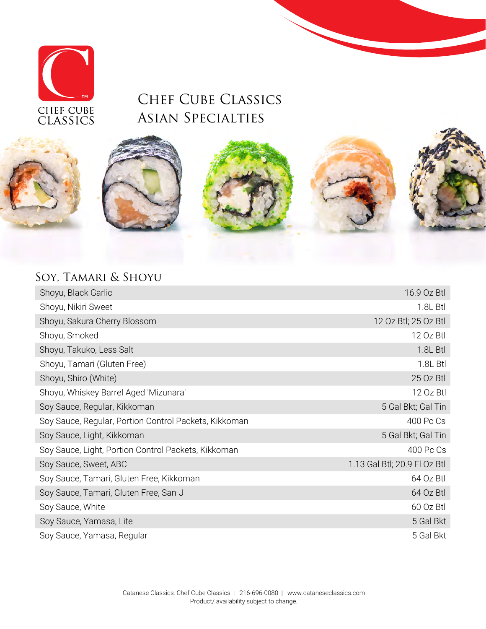

### Chef Cube Classics Asian Specialties









### Soy, Tamari & Shoyu

| Shoyu, Black Garlic                                   | 16.9 Oz Btl                  |
|-------------------------------------------------------|------------------------------|
| Shoyu, Nikiri Sweet                                   | 1.8L Btl                     |
| Shoyu, Sakura Cherry Blossom                          | 12 Oz Btl; 25 Oz Btl         |
| Shoyu, Smoked                                         | 12 Oz Btl                    |
| Shoyu, Takuko, Less Salt                              | 1.8L Btl                     |
| Shoyu, Tamari (Gluten Free)                           | 1.8L Btl                     |
| Shoyu, Shiro (White)                                  | 25 Oz Btl                    |
| Shoyu, Whiskey Barrel Aged 'Mizunara'                 | 12 Oz Btl                    |
| Soy Sauce, Regular, Kikkoman                          | 5 Gal Bkt; Gal Tin           |
| Soy Sauce, Regular, Portion Control Packets, Kikkoman | 400 Pc Cs                    |
| Soy Sauce, Light, Kikkoman                            | 5 Gal Bkt; Gal Tin           |
| Soy Sauce, Light, Portion Control Packets, Kikkoman   | 400 Pc Cs                    |
| Soy Sauce, Sweet, ABC                                 | 1.13 Gal Btl; 20.9 FI Oz Btl |
| Soy Sauce, Tamari, Gluten Free, Kikkoman              | 64 Oz Btl                    |
| Soy Sauce, Tamari, Gluten Free, San-J                 | 64 Oz Btl                    |
| Soy Sauce, White                                      | 60 Oz Btl                    |
| Soy Sauce, Yamasa, Lite                               | 5 Gal Bkt                    |
| Soy Sauce, Yamasa, Regular                            | 5 Gal Bkt                    |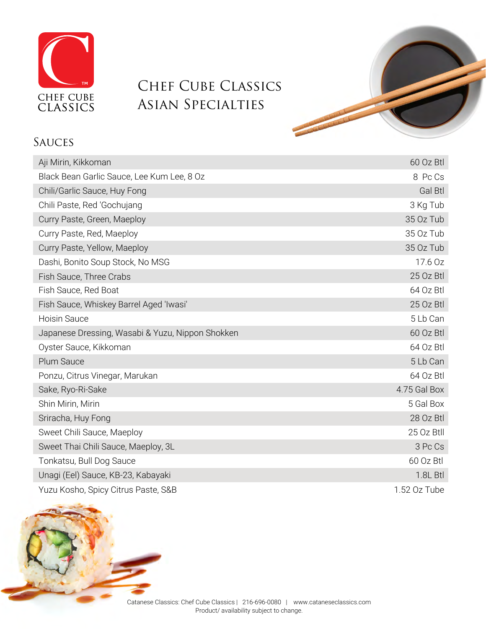

# Chef Cube Classics Asian Specialties

#### **SAUCES**

| Aji Mirin, Kikkoman                              | 60 Oz Btl    |
|--------------------------------------------------|--------------|
| Black Bean Garlic Sauce, Lee Kum Lee, 8 Oz       | 8 Pc Cs      |
| Chili/Garlic Sauce, Huy Fong                     | Gal Btl      |
| Chili Paste, Red 'Gochujang                      | 3 Kg Tub     |
| Curry Paste, Green, Maeploy                      | 35 Oz Tub    |
| Curry Paste, Red, Maeploy                        | 35 Oz Tub    |
| Curry Paste, Yellow, Maeploy                     | 35 Oz Tub    |
| Dashi, Bonito Soup Stock, No MSG                 | 17.6 Oz      |
| Fish Sauce, Three Crabs                          | 25 Oz Btl    |
| Fish Sauce, Red Boat                             | 64 Oz Btl    |
| Fish Sauce, Whiskey Barrel Aged 'Iwasi'          | 25 Oz Btl    |
| <b>Hoisin Sauce</b>                              | 5 Lb Can     |
| Japanese Dressing, Wasabi & Yuzu, Nippon Shokken | 60 Oz Btl    |
| Oyster Sauce, Kikkoman                           | 64 Oz Btl    |
| <b>Plum Sauce</b>                                | 5 Lb Can     |
| Ponzu, Citrus Vinegar, Marukan                   | 64 Oz Btl    |
| Sake, Ryo-Ri-Sake                                | 4.75 Gal Box |
| Shin Mirin, Mirin                                | 5 Gal Box    |
| Sriracha, Huy Fong                               | 28 Oz Btl    |
| Sweet Chili Sauce, Maeploy                       | 25 Oz Btll   |
| Sweet Thai Chili Sauce, Maeploy, 3L              | 3 Pc Cs      |
| Tonkatsu, Bull Dog Sauce                         | 60 Oz Btl    |
| Unagi (Eel) Sauce, KB-23, Kabayaki               | 1.8L Btl     |
| Yuzu Kosho, Spicy Citrus Paste, S&B              | 1.52 Oz Tube |



Catanese Classics: Chef Cube Classics | 216-696-0080 | www.cataneseclassics.com Product/ availability subject to change.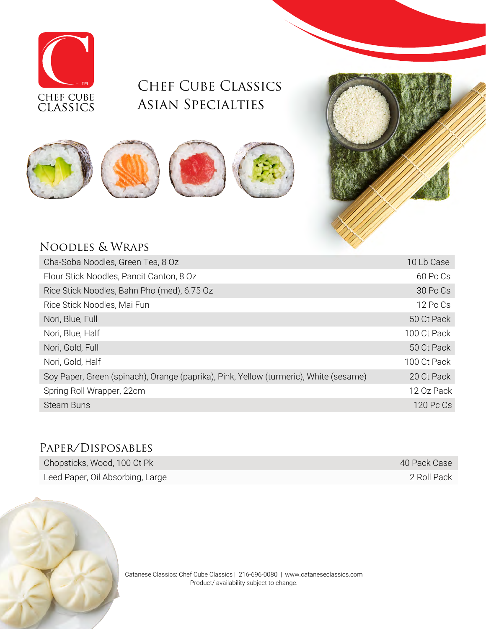

## CHEF CUBE CLASSICS Asian Specialties





#### Noodles & Wraps

| Cha-Soba Noodles, Green Tea, 8 Oz                                                     | 10 Lb Case  |
|---------------------------------------------------------------------------------------|-------------|
| Flour Stick Noodles, Pancit Canton, 8 Oz                                              | 60 Pc Cs    |
| Rice Stick Noodles, Bahn Pho (med), 6.75 Oz                                           | 30 Pc Cs    |
| Rice Stick Noodles, Mai Fun                                                           | 12 Pc Cs    |
| Nori, Blue, Full                                                                      | 50 Ct Pack  |
| Nori, Blue, Half                                                                      | 100 Ct Pack |
| Nori, Gold, Full                                                                      | 50 Ct Pack  |
| Nori, Gold, Half                                                                      | 100 Ct Pack |
| Soy Paper, Green (spinach), Orange (paprika), Pink, Yellow (turmeric), White (sesame) | 20 Ct Pack  |
| Spring Roll Wrapper, 22cm                                                             | 12 Oz Pack  |
| <b>Steam Buns</b>                                                                     | $120$ Pc Cs |

#### Paper/Disposables

| Chopsticks, Wood, 100 Ct Pk      | 40 Pack Case |
|----------------------------------|--------------|
| Leed Paper, Oil Absorbing, Large | 2 Roll Pack  |